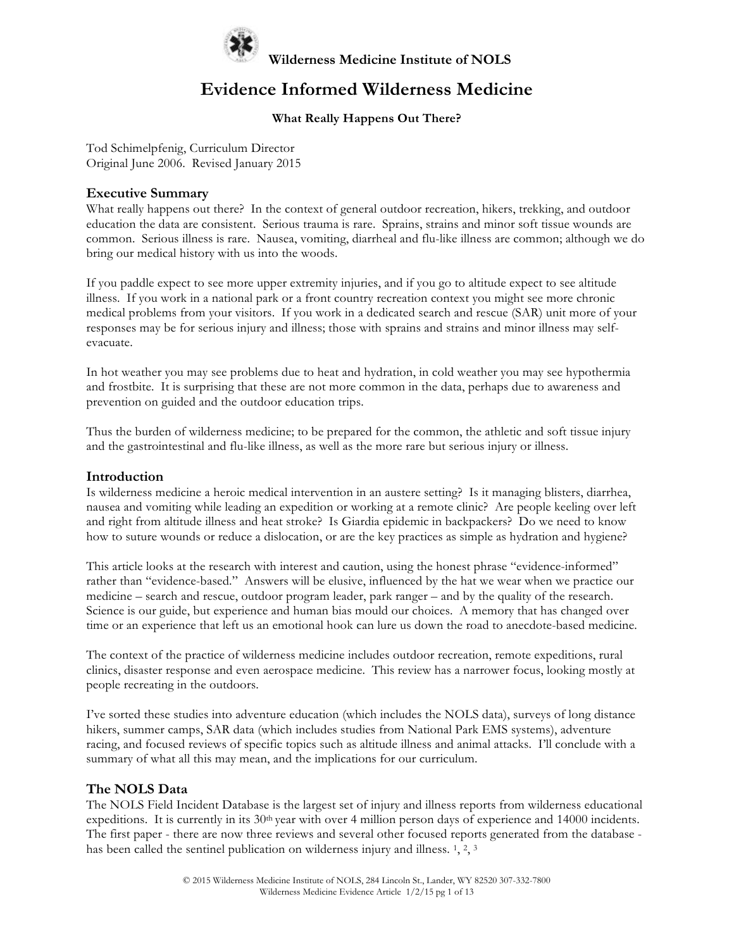

### **Evidence Informed Wilderness Medicine**

### **What Really Happens Out There?**

Tod Schimelpfenig, Curriculum Director Original June 2006. Revised January 2015

#### **Executive Summary**

What really happens out there? In the context of general outdoor recreation, hikers, trekking, and outdoor education the data are consistent. Serious trauma is rare. Sprains, strains and minor soft tissue wounds are common. Serious illness is rare. Nausea, vomiting, diarrheal and flu-like illness are common; although we do bring our medical history with us into the woods.

If you paddle expect to see more upper extremity injuries, and if you go to altitude expect to see altitude illness. If you work in a national park or a front country recreation context you might see more chronic medical problems from your visitors. If you work in a dedicated search and rescue (SAR) unit more of your responses may be for serious injury and illness; those with sprains and strains and minor illness may selfevacuate.

In hot weather you may see problems due to heat and hydration, in cold weather you may see hypothermia and frostbite. It is surprising that these are not more common in the data, perhaps due to awareness and prevention on guided and the outdoor education trips.

Thus the burden of wilderness medicine; to be prepared for the common, the athletic and soft tissue injury and the gastrointestinal and flu-like illness, as well as the more rare but serious injury or illness.

#### **Introduction**

Is wilderness medicine a heroic medical intervention in an austere setting? Is it managing blisters, diarrhea, nausea and vomiting while leading an expedition or working at a remote clinic? Are people keeling over left and right from altitude illness and heat stroke? Is Giardia epidemic in backpackers? Do we need to know how to suture wounds or reduce a dislocation, or are the key practices as simple as hydration and hygiene?

This article looks at the research with interest and caution, using the honest phrase "evidence-informed" rather than "evidence-based." Answers will be elusive, influenced by the hat we wear when we practice our medicine – search and rescue, outdoor program leader, park ranger – and by the quality of the research. Science is our guide, but experience and human bias mould our choices. A memory that has changed over time or an experience that left us an emotional hook can lure us down the road to anecdote-based medicine.

The context of the practice of wilderness medicine includes outdoor recreation, remote expeditions, rural clinics, disaster response and even aerospace medicine. This review has a narrower focus, looking mostly at people recreating in the outdoors.

I've sorted these studies into adventure education (which includes the NOLS data), surveys of long distance hikers, summer camps, SAR data (which includes studies from National Park EMS systems), adventure racing, and focused reviews of specific topics such as altitude illness and animal attacks. I'll conclude with a summary of what all this may mean, and the implications for our curriculum.

#### **The NOLS Data**

The NOLS Field Incident Database is the largest set of injury and illness reports from wilderness educational expeditions. It is currently in its 30<sup>th</sup> year with over 4 million person days of experience and 14000 incidents. The first paper - there are now three reviews and several other focused reports generated from the database has been called the sentinel publication on wilderness injury and illness. 1, 2, 3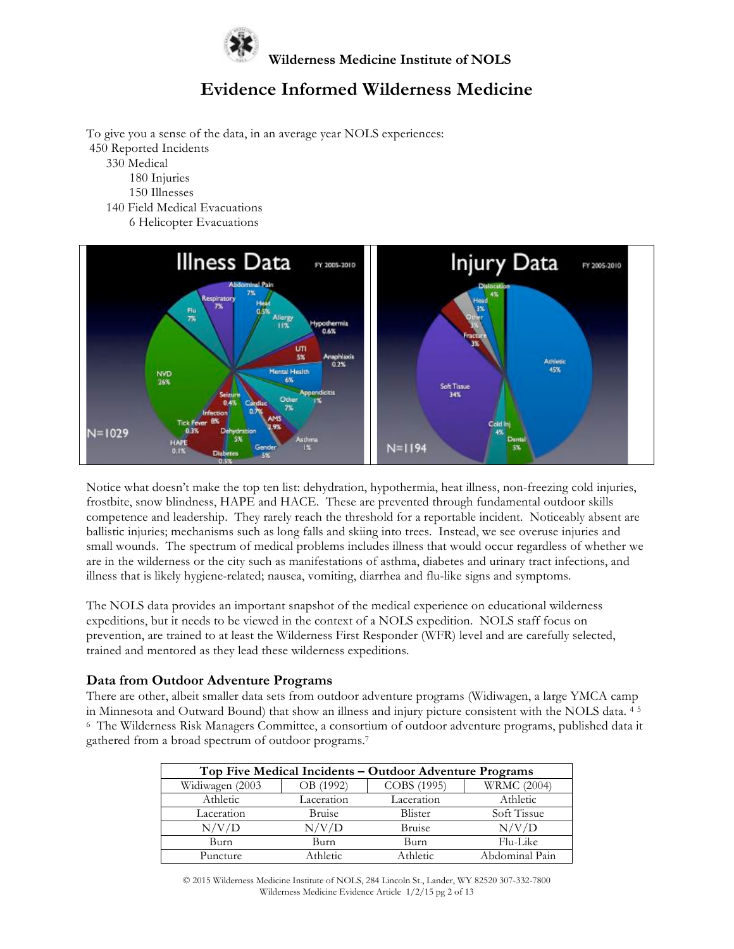

To give you a sense of the data, in an average year NOLS experiences: 450 Reported Incidents 330 Medical 180 Injuries 150 Illnesses

 140 Field Medical Evacuations 6 Helicopter Evacuations



Notice what doesn't make the top ten list: dehydration, hypothermia, heat illness, non-freezing cold injuries, frostbite, snow blindness, HAPE and HACE. These are prevented through fundamental outdoor skills competence and leadership. They rarely reach the threshold for a reportable incident. Noticeably absent are ballistic injuries; mechanisms such as long falls and skiing into trees. Instead, we see overuse injuries and small wounds. The spectrum of medical problems includes illness that would occur regardless of whether we are in the wilderness or the city such as manifestations of asthma, diabetes and urinary tract infections, and illness that is likely hygiene-related; nausea, vomiting, diarrhea and flu-like signs and symptoms.

The NOLS data provides an important snapshot of the medical experience on educational wilderness expeditions, but it needs to be viewed in the context of a NOLS expedition. NOLS staff focus on prevention, are trained to at least the Wilderness First Responder (WFR) level and are carefully selected, trained and mentored as they lead these wilderness expeditions.

#### **Data from Outdoor Adventure Programs**

There are other, albeit smaller data sets from outdoor adventure programs (Widiwagen, a large YMCA camp in Minnesota and Outward Bound) that show an illness and injury picture consistent with the NOLS data. <sup>4</sup> <sup>5</sup> 6 The Wilderness Risk Managers Committee, a consortium of outdoor adventure programs, published data it gathered from a broad spectrum of outdoor programs.7

| Top Five Medical Incidents - Outdoor Adventure Programs |            |               |                    |
|---------------------------------------------------------|------------|---------------|--------------------|
| Widiwagen (2003                                         | OB (1992)  | COBS (1995)   | <b>WRMC</b> (2004) |
| Athletic                                                | Laceration | Laceration    | Athletic           |
| Laceration                                              | Bruise     | Blister       | Soft Tissue        |
| N/V/D                                                   | N/V/D      | <b>Bruise</b> | N/V/D              |
| Burn                                                    | Burn       | Burn          | Flu-Like           |
| Puncture                                                | Athletic   | Athletic      | Abdominal Pain     |

© 2015 Wilderness Medicine Institute of NOLS, 284 Lincoln St., Lander, WY 82520 307-332-7800 Wilderness Medicine Evidence Article 1/2/15 pg 2 of 13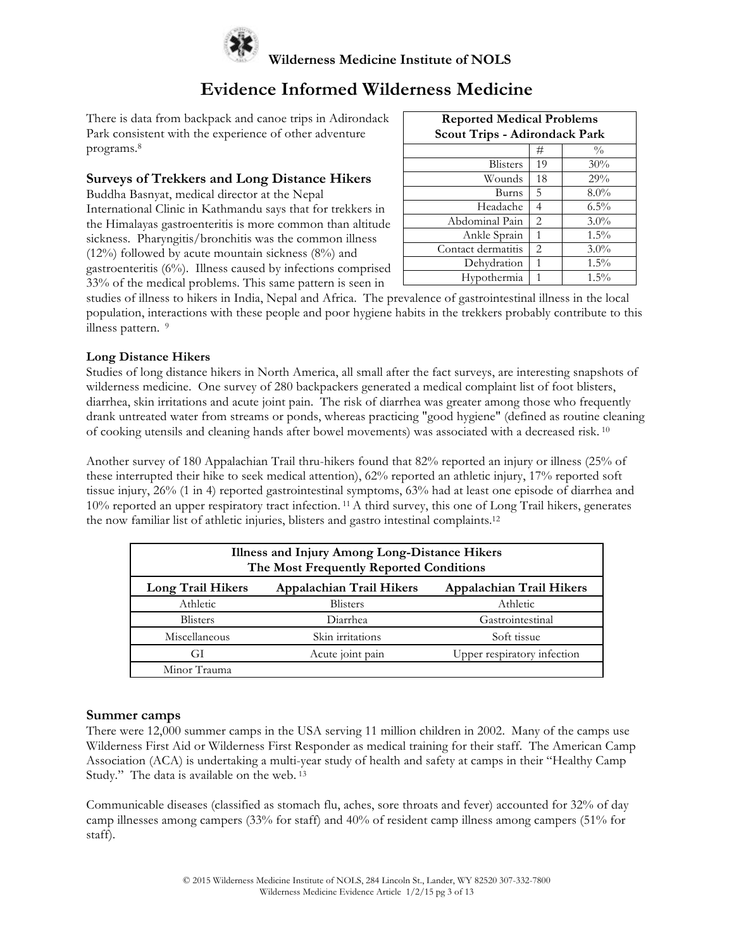

There is data from backpack and canoe trips in Adirondack Park consistent with the experience of other adventure programs.8

### **Surveys of Trekkers and Long Distance Hikers**

Buddha Basnyat, medical director at the Nepal

International Clinic in Kathmandu says that for trekkers in the Himalayas gastroenteritis is more common than altitude sickness. Pharyngitis/bronchitis was the common illness (12%) followed by acute mountain sickness (8%) and gastroenteritis (6%). Illness caused by infections comprised 33% of the medical problems. This same pattern is seen in

| <b>Reported Medical Problems</b><br><b>Scout Trips - Adirondack Park</b> |    |               |  |
|--------------------------------------------------------------------------|----|---------------|--|
|                                                                          | #  | $\frac{0}{0}$ |  |
| <b>Blisters</b>                                                          | 19 | 30%           |  |
| Wounds                                                                   | 18 | 29%           |  |
| Burns                                                                    | 5  | $8.0\%$       |  |
| Headache                                                                 | 4  | $6.5\%$       |  |
| Abdominal Pain                                                           | 2  | $3.0\%$       |  |
| Ankle Sprain                                                             | 1  | $1.5\%$       |  |
| Contact dermatitis                                                       | 2  | $3.0\%$       |  |
| Dehydration                                                              | 1  | $1.5\%$       |  |
| Hypothermia                                                              | 1  | $1.5\%$       |  |

studies of illness to hikers in India, Nepal and Africa. The prevalence of gastrointestinal illness in the local population, interactions with these people and poor hygiene habits in the trekkers probably contribute to this illness pattern. <sup>9</sup>

### **Long Distance Hikers**

Studies of long distance hikers in North America, all small after the fact surveys, are interesting snapshots of wilderness medicine. One survey of 280 backpackers generated a medical complaint list of foot blisters, diarrhea, skin irritations and acute joint pain. The risk of diarrhea was greater among those who frequently drank untreated water from streams or ponds, whereas practicing "good hygiene" (defined as routine cleaning of cooking utensils and cleaning hands after bowel movements) was associated with a decreased risk. <sup>10</sup>

Another survey of 180 Appalachian Trail thru-hikers found that 82% reported an injury or illness (25% of these interrupted their hike to seek medical attention), 62% reported an athletic injury, 17% reported soft tissue injury, 26% (1 in 4) reported gastrointestinal symptoms, 63% had at least one episode of diarrhea and 10% reported an upper respiratory tract infection. 11A third survey, this one of Long Trail hikers, generates the now familiar list of athletic injuries, blisters and gastro intestinal complaints.12

| Illness and Injury Among Long-Distance Hikers<br>The Most Frequently Reported Conditions |                  |                             |  |
|------------------------------------------------------------------------------------------|------------------|-----------------------------|--|
| Long Trail Hikers<br><b>Appalachian Trail Hikers</b><br>Appalachian Trail Hikers         |                  |                             |  |
| Athletic                                                                                 | <b>Blisters</b>  | Athletic                    |  |
| <b>Blisters</b>                                                                          | Diarrhea         | Gastrointestinal            |  |
| Miscellaneous                                                                            | Skin irritations | Soft tissue                 |  |
| GI                                                                                       | Acute joint pain | Upper respiratory infection |  |
| Minor Trauma                                                                             |                  |                             |  |

#### **Summer camps**

There were 12,000 summer camps in the USA serving 11 million children in 2002. Many of the camps use Wilderness First Aid or Wilderness First Responder as medical training for their staff. The American Camp Association (ACA) is undertaking a multi-year study of health and safety at camps in their "Healthy Camp Study." The data is available on the web. <sup>13</sup>

Communicable diseases (classified as stomach flu, aches, sore throats and fever) accounted for 32% of day camp illnesses among campers (33% for staff) and 40% of resident camp illness among campers (51% for staff).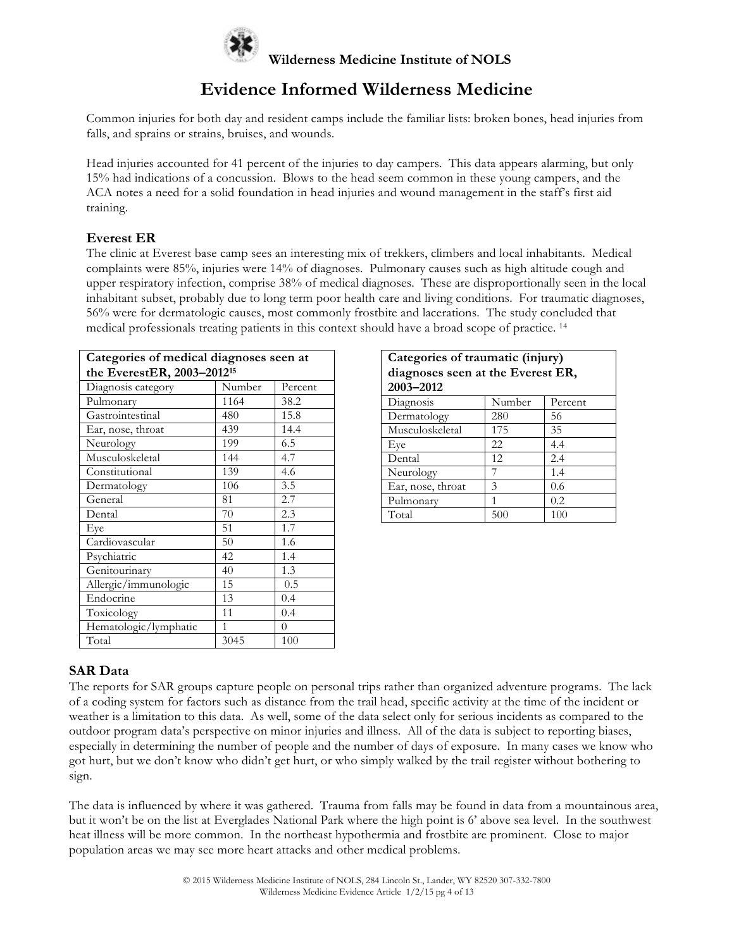

Common injuries for both day and resident camps include the familiar lists: broken bones, head injuries from falls, and sprains or strains, bruises, and wounds.

Head injuries accounted for 41 percent of the injuries to day campers. This data appears alarming, but only 15% had indications of a concussion. Blows to the head seem common in these young campers, and the ACA notes a need for a solid foundation in head injuries and wound management in the staff's first aid training.

### **Everest ER**

The clinic at Everest base camp sees an interesting mix of trekkers, climbers and local inhabitants. Medical complaints were 85%, injuries were 14% of diagnoses. Pulmonary causes such as high altitude cough and upper respiratory infection, comprise 38% of medical diagnoses. These are disproportionally seen in the local inhabitant subset, probably due to long term poor health care and living conditions. For traumatic diagnoses, 56% were for dermatologic causes, most commonly frostbite and lacerations. The study concluded that medical professionals treating patients in this context should have a broad scope of practice. <sup>14</sup>

| Categories of medical diagnoses seen at |        |         |  |
|-----------------------------------------|--------|---------|--|
| the EverestER, 2003-2012 <sup>15</sup>  |        |         |  |
| Diagnosis category                      | Number | Percent |  |
| Pulmonary                               | 1164   | 38.2    |  |
| Gastrointestinal                        | 480    | 15.8    |  |
| Ear, nose, throat                       | 439    | 14.4    |  |
| Neurology                               | 199    | 6.5     |  |
| Musculoskeletal                         | 144    | 4.7     |  |
| Constitutional                          | 139    | 4.6     |  |
| Dermatology                             | 106    | 3.5     |  |
| General                                 | 81     | 2.7     |  |
| Dental                                  | 70     | 2.3     |  |
| Eye                                     | 51     | 1.7     |  |
| Cardiovascular                          | 50     | 1.6     |  |
| Psychiatric                             | 42     | 1.4     |  |
| Genitourinary                           | 40     | 1.3     |  |
| Allergic/immunologic                    | 15     | 0.5     |  |
| Endocrine                               | 13     | 0.4     |  |
| Toxicology                              | 11     | 0.4     |  |
| Hematologic/lymphatic                   | 1      | 0       |  |
| Total                                   | 3045   | 100     |  |

| Categories of traumatic (injury)  |        |         |  |  |
|-----------------------------------|--------|---------|--|--|
| diagnoses seen at the Everest ER, |        |         |  |  |
| 2003-2012                         |        |         |  |  |
| Diagnosis                         | Number | Percent |  |  |
| Dermatology                       | 280    | 56      |  |  |
| Musculoskeletal                   | 175    | 35      |  |  |
| Eye                               | 22     | 4.4     |  |  |
| Dental                            | 12     | 2.4     |  |  |
| Neurology                         |        | 1.4     |  |  |
| Ear, nose, throat<br>0.6<br>3     |        |         |  |  |
| 0.2<br>Pulmonary<br>1             |        |         |  |  |
| Total<br>100<br>500               |        |         |  |  |

### **SAR Data**

The reports for SAR groups capture people on personal trips rather than organized adventure programs. The lack of a coding system for factors such as distance from the trail head, specific activity at the time of the incident or weather is a limitation to this data. As well, some of the data select only for serious incidents as compared to the outdoor program data's perspective on minor injuries and illness. All of the data is subject to reporting biases, especially in determining the number of people and the number of days of exposure. In many cases we know who got hurt, but we don't know who didn't get hurt, or who simply walked by the trail register without bothering to sign.

The data is influenced by where it was gathered. Trauma from falls may be found in data from a mountainous area, but it won't be on the list at Everglades National Park where the high point is 6' above sea level. In the southwest heat illness will be more common. In the northeast hypothermia and frostbite are prominent. Close to major population areas we may see more heart attacks and other medical problems.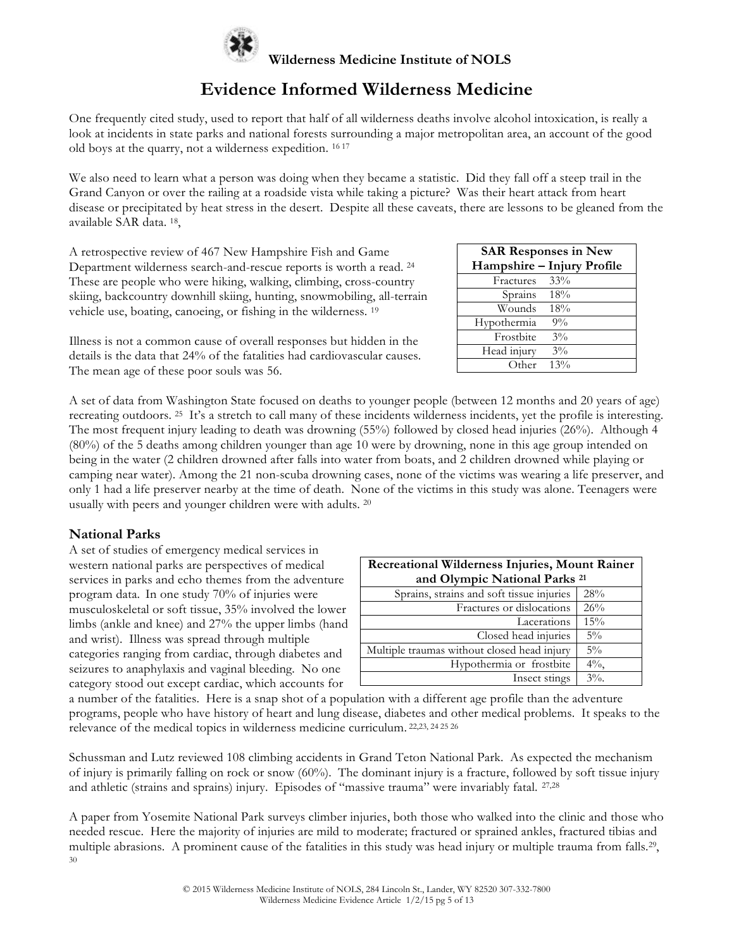

## **Evidence Informed Wilderness Medicine**

One frequently cited study, used to report that half of all wilderness deaths involve alcohol intoxication, is really a look at incidents in state parks and national forests surrounding a major metropolitan area, an account of the good old boys at the quarry, not a wilderness expedition. 16 <sup>17</sup>

We also need to learn what a person was doing when they became a statistic. Did they fall off a steep trail in the Grand Canyon or over the railing at a roadside vista while taking a picture? Was their heart attack from heart disease or precipitated by heat stress in the desert. Despite all these caveats, there are lessons to be gleaned from the available SAR data. 18,

A retrospective review of 467 New Hampshire Fish and Game Department wilderness search-and-rescue reports is worth a read. 24 These are people who were hiking, walking, climbing, cross-country skiing, backcountry downhill skiing, hunting, snowmobiling, all-terrain vehicle use, boating, canoeing, or fishing in the wilderness. 19

Illness is not a common cause of overall responses but hidden in the details is the data that 24% of the fatalities had cardiovascular causes. The mean age of these poor souls was 56.

| <b>SAR Responses in New</b> |        |  |
|-----------------------------|--------|--|
| Hampshire - Injury Profile  |        |  |
| Fractures                   | $33\%$ |  |
| Sprains 18%                 |        |  |
| Wounds -                    | 18%    |  |
| Hypothermia                 | $9\%$  |  |
| Frostbite                   | $3\%$  |  |
| Head injury                 | $3\%$  |  |
| Other                       | 13%    |  |

A set of data from Washington State focused on deaths to younger people (between 12 months and 20 years of age) recreating outdoors. 25 It's a stretch to call many of these incidents wilderness incidents, yet the profile is interesting. The most frequent injury leading to death was drowning (55%) followed by closed head injuries (26%). Although 4 (80%) of the 5 deaths among children younger than age 10 were by drowning, none in this age group intended on being in the water (2 children drowned after falls into water from boats, and 2 children drowned while playing or camping near water). Among the 21 non-scuba drowning cases, none of the victims was wearing a life preserver, and only 1 had a life preserver nearby at the time of death. None of the victims in this study was alone. Teenagers were usually with peers and younger children were with adults. <sup>20</sup>

### **National Parks**

A set of studies of emergency medical services in western national parks are perspectives of medical services in parks and echo themes from the adventure program data. In one study 70% of injuries were musculoskeletal or soft tissue, 35% involved the lower limbs (ankle and knee) and 27% the upper limbs (hand and wrist). Illness was spread through multiple categories ranging from cardiac, through diabetes and seizures to anaphylaxis and vaginal bleeding. No one category stood out except cardiac, which accounts for

| Recreational Wilderness Injuries, Mount Rainer |         |  |
|------------------------------------------------|---------|--|
| and Olympic National Parks <sup>21</sup>       |         |  |
| Sprains, strains and soft tissue injuries      | 28%     |  |
| Fractures or dislocations                      | 26%     |  |
| Lacerations                                    | 15%     |  |
| Closed head injuries                           | $5\%$   |  |
| Multiple traumas without closed head injury    | $5\%$   |  |
| Hypothermia or frostbite                       | $4\%$ , |  |
| Insect stings                                  | $3\%$ . |  |

a number of the fatalities. Here is a snap shot of a population with a different age profile than the adventure programs, people who have history of heart and lung disease, diabetes and other medical problems. It speaks to the relevance of the medical topics in wilderness medicine curriculum. 22,23, 24 <sup>25</sup> <sup>26</sup>

Schussman and Lutz reviewed 108 climbing accidents in Grand Teton National Park. As expected the mechanism of injury is primarily falling on rock or snow (60%). The dominant injury is a fracture, followed by soft tissue injury and athletic (strains and sprains) injury. Episodes of "massive trauma" were invariably fatal. 27,28

A paper from Yosemite National Park surveys climber injuries, both those who walked into the clinic and those who needed rescue. Here the majority of injuries are mild to moderate; fractured or sprained ankles, fractured tibias and multiple abrasions. A prominent cause of the fatalities in this study was head injury or multiple trauma from falls.<sup>29</sup>, 30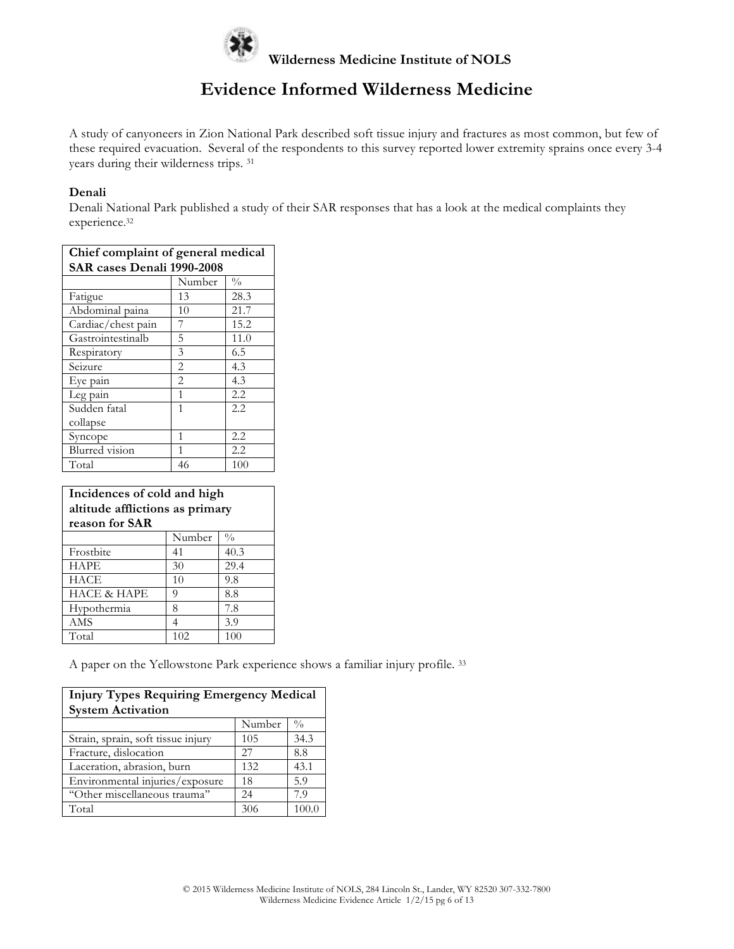

A study of canyoneers in Zion National Park described soft tissue injury and fractures as most common, but few of these required evacuation. Several of the respondents to this survey reported lower extremity sprains once every 3-4 years during their wilderness trips. 31

#### **Denali**

Denali National Park published a study of their SAR responses that has a look at the medical complaints they experience. 32

| Chief complaint of general medical |                |               |  |
|------------------------------------|----------------|---------------|--|
| SAR cases Denali 1990-2008         |                |               |  |
|                                    | Number         | $\frac{0}{0}$ |  |
| Fatigue                            | 13             | 28.3          |  |
| Abdominal paina                    | 10             | 21.7          |  |
| Cardiac/chest pain                 | 7              | 15.2          |  |
| Gastrointestinalb                  | 5              | 11.0          |  |
| Respiratory                        | 3              | 6.5           |  |
| Seizure                            | $\overline{2}$ | 4.3           |  |
| Eye pain                           | $\overline{2}$ | 4.3           |  |
| Leg pain                           | 1              | 2.2           |  |
| Sudden fatal                       | 1              | 2.2.          |  |
| collapse                           |                |               |  |
| Syncope                            | 1              | 2.2           |  |
| Blurred vision                     | 1              | 2.2           |  |
| Total                              | 46             | 100           |  |

#### **Incidences of cold and high altitude afflictions as primary reason for SAR**

| $\frac{0}{0}$<br>Number<br>40.3<br>Frostbite<br>41<br>29.4<br><b>HAPE</b><br>30<br><b>HACE</b><br>9.8<br>10<br><b>HACE &amp; HAPE</b><br>8.8<br>9<br>7.8<br>Hypothermia<br>8<br><b>AMS</b><br>3.9<br>102<br>100<br>Total |  |  |
|--------------------------------------------------------------------------------------------------------------------------------------------------------------------------------------------------------------------------|--|--|
|                                                                                                                                                                                                                          |  |  |
|                                                                                                                                                                                                                          |  |  |
|                                                                                                                                                                                                                          |  |  |
|                                                                                                                                                                                                                          |  |  |
|                                                                                                                                                                                                                          |  |  |
|                                                                                                                                                                                                                          |  |  |
|                                                                                                                                                                                                                          |  |  |
|                                                                                                                                                                                                                          |  |  |

A paper on the Yellowstone Park experience shows a familiar injury profile. 33

| <b>Injury Types Requiring Emergency Medical</b><br><b>System Activation</b> |        |               |
|-----------------------------------------------------------------------------|--------|---------------|
|                                                                             | Number | $\frac{0}{0}$ |
| Strain, sprain, soft tissue injury                                          | 105    | 34.3          |
| Fracture, dislocation                                                       | 27     | 8.8           |
| Laceration, abrasion, burn                                                  | 132    | 43.1          |
| Environmental injuries/exposure                                             | 18     | 5.9           |
| "Other miscellaneous trauma"                                                | 24     | 7.9           |
| Total                                                                       | 306    | 100.0         |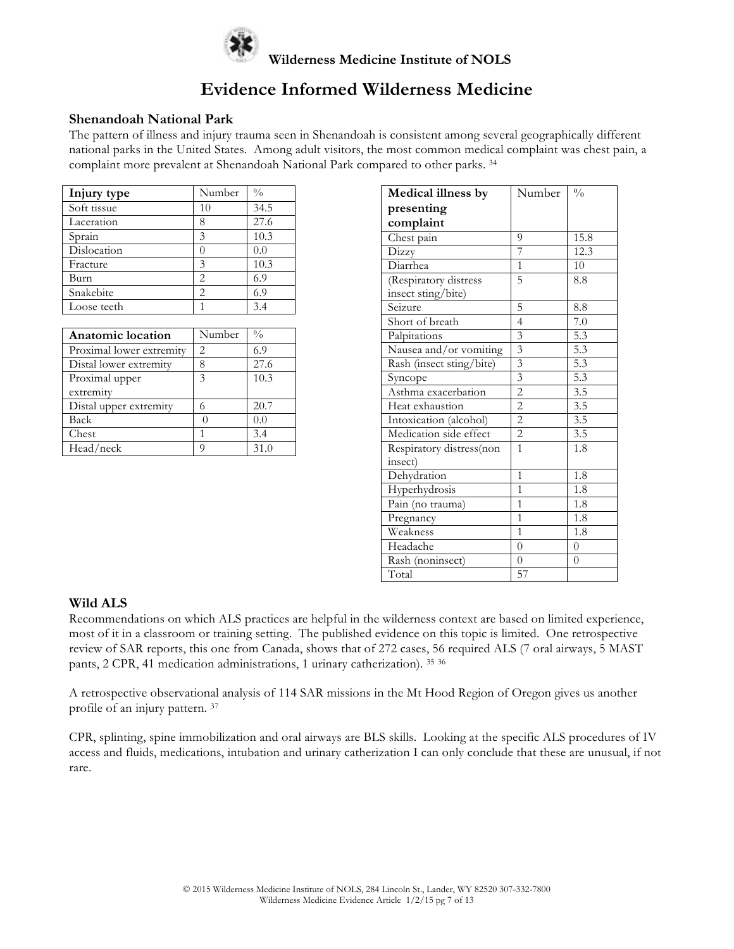

#### **Shenandoah National Park**

The pattern of illness and injury trauma seen in Shenandoah is consistent among several geographically different national parks in the United States. Among adult visitors, the most common medical complaint was chest pain, a complaint more prevalent at Shenandoah National Park compared to other parks. <sup>34</sup>

| Injury type | Number | $\frac{0}{0}$ |
|-------------|--------|---------------|
| Soft tissue | 10     | 34.5          |
| Laceration  | 8      | 27.6          |
| Sprain      | 3      | 10.3          |
| Dislocation | 0      | 0.0           |
| Fracture    | 3      | 10.3          |
| Burn        | 2      | 6.9           |
| Snakebite   | 2      | 6.9           |
| Loose teeth |        | 3.4           |

| <b>Anatomic location</b> | Number | $\frac{0}{0}$ |
|--------------------------|--------|---------------|
| Proximal lower extremity | 2      | 6.9           |
| Distal lower extremity   | 8      | 27.6          |
| Proximal upper           | 3      | 10.3          |
| extremity                |        |               |
| Distal upper extremity   | 6      | 20.7          |
| Back                     |        | 0.0           |
| Chest                    |        | 3.4           |
| Head/neck                |        | 31.0          |

| Medical illness by       | Number                  | $\frac{0}{0}$    |
|--------------------------|-------------------------|------------------|
| presenting               |                         |                  |
| complaint                |                         |                  |
| Chest pain               | 9                       | 15.8             |
| Dizzy                    | 7                       | 12.3             |
| Diarrhea                 | $\mathbf{1}$            | 10               |
| (Respiratory distress    | 5                       | 8.8              |
| insect sting/bite)       |                         |                  |
| Seizure                  | 5                       | 8.8              |
| Short of breath          | $\overline{4}$          | 7.0              |
| Palpitations             | 3                       | 5.3              |
| Nausea and/or vomiting   | $\overline{\mathbf{3}}$ | 5.3              |
| Rash (insect sting/bite) | $\overline{\mathbf{3}}$ | 5.3              |
| Syncope                  | $\overline{\mathbf{3}}$ | 5.3              |
| Asthma exacerbation      | $\overline{2}$          | 3.5              |
| Heat exhaustion          | $\overline{2}$          | 3.5              |
| Intoxication (alcohol)   | $\overline{c}$          | 3.5              |
| Medication side effect   | $\overline{2}$          | $\overline{3.5}$ |
| Respiratory distress(non | $\mathbf{1}$            | 1.8              |
| insect)                  |                         |                  |
| Dehydration              | $\overline{1}$          | 1.8              |
| Hyperhydrosis            | 1                       | 1.8              |
| Pain (no trauma)         | $\overline{1}$          | 1.8              |
| Pregnancy                | $\mathbf{1}$            | 1.8              |
| Weakness                 | $\overline{1}$          | 1.8              |
| Headache                 | $\theta$                | $\overline{0}$   |
| Rash (noninsect)         | $\theta$                | $\theta$         |
| Total                    | 57                      |                  |

### **Wild ALS**

Recommendations on which ALS practices are helpful in the wilderness context are based on limited experience, most of it in a classroom or training setting. The published evidence on this topic is limited. One retrospective review of SAR reports, this one from Canada, shows that of 272 cases, 56 required ALS (7 oral airways, 5 MAST pants, 2 CPR, 41 medication administrations, 1 urinary catherization). 35 <sup>36</sup>

A retrospective observational analysis of 114 SAR missions in the Mt Hood Region of Oregon gives us another profile of an injury pattern. 37

CPR, splinting, spine immobilization and oral airways are BLS skills. Looking at the specific ALS procedures of IV access and fluids, medications, intubation and urinary catherization I can only conclude that these are unusual, if not rare.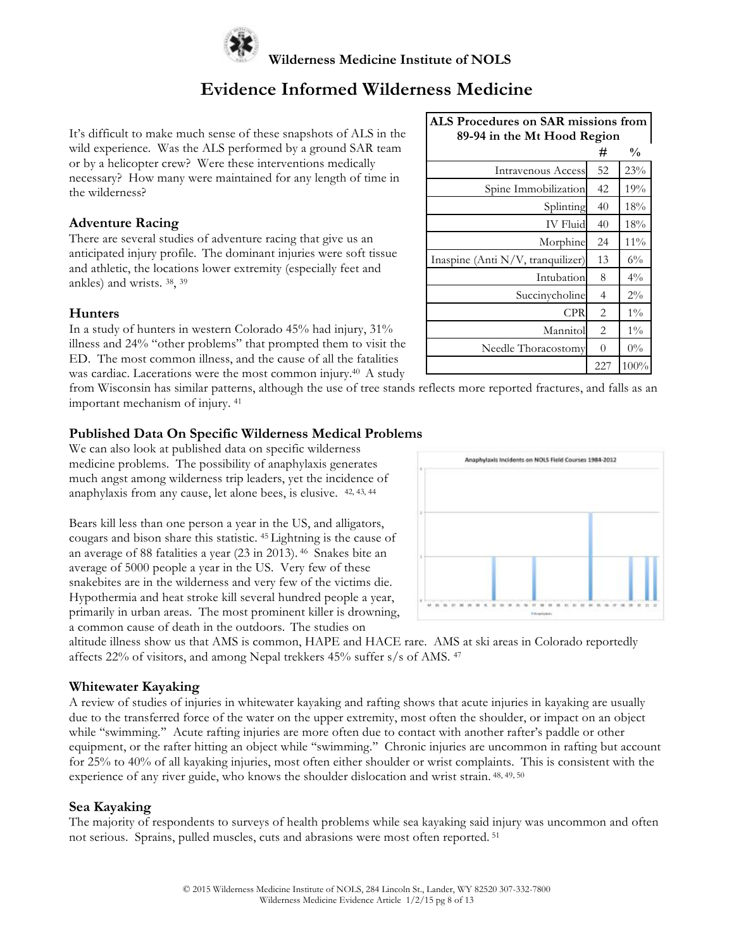

It's difficult to make much sense of these snapshots of ALS in the wild experience. Was the ALS performed by a ground SAR team or by a helicopter crew? Were these interventions medically necessary? How many were maintained for any length of time in the wilderness?

### **Adventure Racing**

There are several studies of adventure racing that give us an anticipated injury profile. The dominant injuries were soft tissue and athletic, the locations lower extremity (especially feet and ankles) and wrists. 38, 39

### **Hunters**

In a study of hunters in western Colorado 45% had injury, 31% illness and 24% "other problems" that prompted them to visit the ED. The most common illness, and the cause of all the fatalities was cardiac. Lacerations were the most common injury.<sup>40</sup> A study

| ALS Procedures on SAR missions from<br>89-94 in the Mt Hood Region |                |               |  |  |
|--------------------------------------------------------------------|----------------|---------------|--|--|
|                                                                    | #              | $\frac{0}{0}$ |  |  |
| <b>Intravenous Access</b>                                          | 52             | 23%           |  |  |
| Spine Immobilization                                               | 42             | 19%           |  |  |
| Splinting                                                          | 40             | 18%           |  |  |
| <b>IV</b> Fluid                                                    | 40             | 18%           |  |  |
| Morphine                                                           | 24             | 11%           |  |  |
| Inaspine (Anti N/V, tranquilizer)                                  | 13             | $6\%$         |  |  |
| Intubation                                                         | 8              | $4\%$         |  |  |
| Succinycholine                                                     | $\overline{4}$ | $2\%$         |  |  |
| CPR                                                                | $\overline{c}$ | $1\%$         |  |  |
| Mannitol                                                           | $\overline{2}$ | $1\%$         |  |  |
| Needle Thoracostomy                                                | 0              | $0\%$         |  |  |
|                                                                    | 227            | 100%          |  |  |

from Wisconsin has similar patterns, although the use of tree stands reflects more reported fractures, and falls as an important mechanism of injury. 41

### **Published Data On Specific Wilderness Medical Problems**

We can also look at published data on specific wilderness medicine problems. The possibility of anaphylaxis generates much angst among wilderness trip leaders, yet the incidence of anaphylaxis from any cause, let alone bees, is elusive. 42, 43, 44

Bears kill less than one person a year in the US, and alligators, cougars and bison share this statistic. <sup>45</sup> Lightning is the cause of an average of 88 fatalities a year (23 in 2013). 46 Snakes bite an average of 5000 people a year in the US. Very few of these snakebites are in the wilderness and very few of the victims die. Hypothermia and heat stroke kill several hundred people a year, primarily in urban areas. The most prominent killer is drowning, a common cause of death in the outdoors. The studies on



altitude illness show us that AMS is common, HAPE and HACE rare. AMS at ski areas in Colorado reportedly affects 22% of visitors, and among Nepal trekkers 45% suffer s/s of AMS. 47

#### **Whitewater Kayaking**

A review of studies of injuries in whitewater kayaking and rafting shows that acute injuries in kayaking are usually due to the transferred force of the water on the upper extremity, most often the shoulder, or impact on an object while "swimming." Acute rafting injuries are more often due to contact with another rafter's paddle or other equipment, or the rafter hitting an object while ''swimming.'' Chronic injuries are uncommon in rafting but account for 25% to 40% of all kayaking injuries, most often either shoulder or wrist complaints. This is consistent with the experience of any river guide, who knows the shoulder dislocation and wrist strain. 48, 49, 50

#### **Sea Kayaking**

The majority of respondents to surveys of health problems while sea kayaking said injury was uncommon and often not serious. Sprains, pulled muscles, cuts and abrasions were most often reported. <sup>51</sup>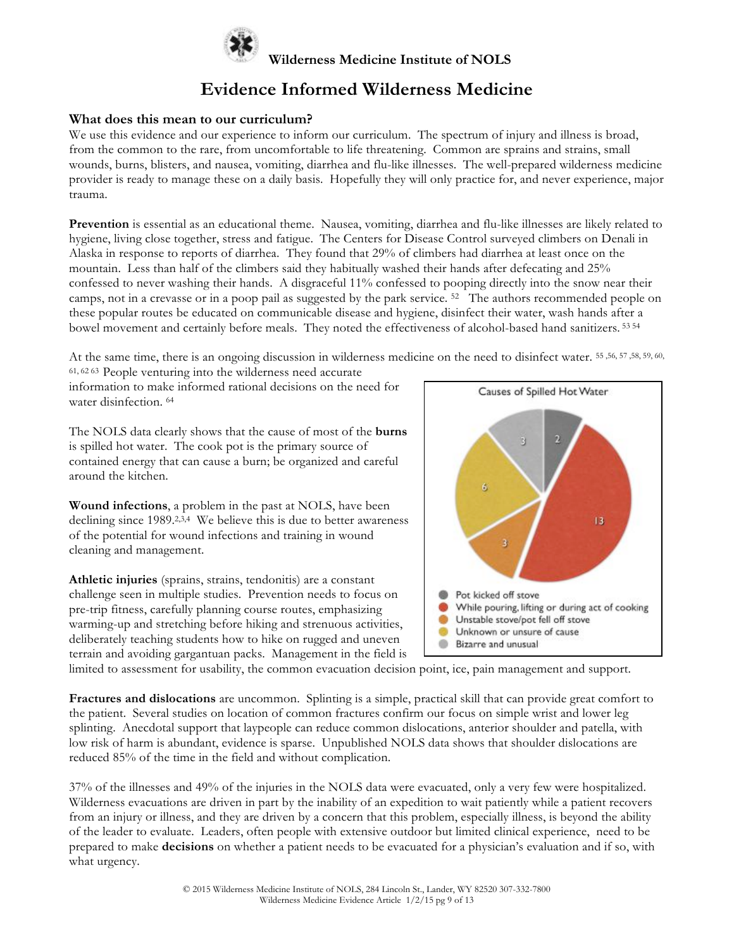

### **What does this mean to our curriculum?**

We use this evidence and our experience to inform our curriculum. The spectrum of injury and illness is broad, from the common to the rare, from uncomfortable to life threatening. Common are sprains and strains, small wounds, burns, blisters, and nausea, vomiting, diarrhea and flu-like illnesses. The well-prepared wilderness medicine provider is ready to manage these on a daily basis. Hopefully they will only practice for, and never experience, major trauma.

**Prevention** is essential as an educational theme. Nausea, vomiting, diarrhea and flu-like illnesses are likely related to hygiene, living close together, stress and fatigue. The Centers for Disease Control surveyed climbers on Denali in Alaska in response to reports of diarrhea. They found that 29% of climbers had diarrhea at least once on the mountain. Less than half of the climbers said they habitually washed their hands after defecating and 25% confessed to never washing their hands. A disgraceful 11% confessed to pooping directly into the snow near their camps, not in a crevasse or in a poop pail as suggested by the park service. 52 The authors recommended people on these popular routes be educated on communicable disease and hygiene, disinfect their water, wash hands after a bowel movement and certainly before meals. They noted the effectiveness of alcohol-based hand sanitizers. <sup>53</sup> <sup>54</sup>

At the same time, there is an ongoing discussion in wilderness medicine on the need to disinfect water. 55 ,56, 57 ,58, 59, 60, 61, 62 63 People venturing into the wilderness need accurate

information to make informed rational decisions on the need for water disinfection. <sup>64</sup>

The NOLS data clearly shows that the cause of most of the **burns** is spilled hot water. The cook pot is the primary source of contained energy that can cause a burn; be organized and careful around the kitchen.

**Wound infections**, a problem in the past at NOLS, have been declining since 1989.<sup>2,3,4</sup> We believe this is due to better awareness of the potential for wound infections and training in wound cleaning and management.

**Athletic injuries** (sprains, strains, tendonitis) are a constant challenge seen in multiple studies. Prevention needs to focus on pre-trip fitness, carefully planning course routes, emphasizing warming-up and stretching before hiking and strenuous activities, deliberately teaching students how to hike on rugged and uneven terrain and avoiding gargantuan packs. Management in the field is



limited to assessment for usability, the common evacuation decision point, ice, pain management and support.

**Fractures and dislocations** are uncommon. Splinting is a simple, practical skill that can provide great comfort to the patient. Several studies on location of common fractures confirm our focus on simple wrist and lower leg splinting. Anecdotal support that laypeople can reduce common dislocations, anterior shoulder and patella, with low risk of harm is abundant, evidence is sparse. Unpublished NOLS data shows that shoulder dislocations are reduced 85% of the time in the field and without complication.

37% of the illnesses and 49% of the injuries in the NOLS data were evacuated, only a very few were hospitalized. Wilderness evacuations are driven in part by the inability of an expedition to wait patiently while a patient recovers from an injury or illness, and they are driven by a concern that this problem, especially illness, is beyond the ability of the leader to evaluate. Leaders, often people with extensive outdoor but limited clinical experience, need to be prepared to make **decisions** on whether a patient needs to be evacuated for a physician's evaluation and if so, with what urgency.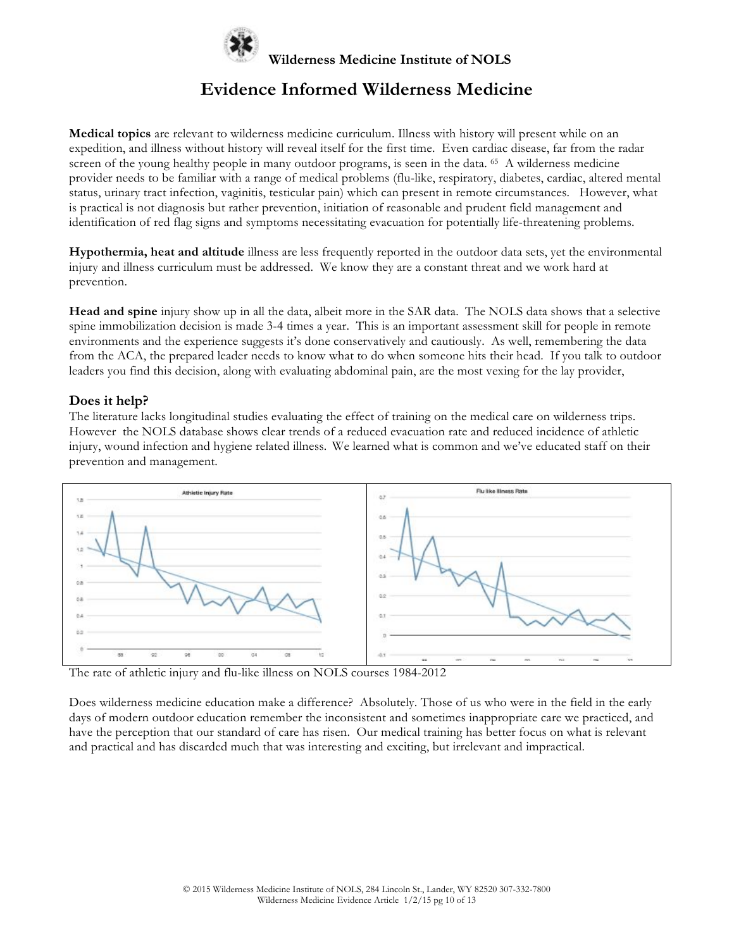

**Medical topics** are relevant to wilderness medicine curriculum. Illness with history will present while on an expedition, and illness without history will reveal itself for the first time. Even cardiac disease, far from the radar screen of the young healthy people in many outdoor programs, is seen in the data. <sup>65</sup> A wilderness medicine provider needs to be familiar with a range of medical problems (flu-like, respiratory, diabetes, cardiac, altered mental status, urinary tract infection, vaginitis, testicular pain) which can present in remote circumstances. However, what is practical is not diagnosis but rather prevention, initiation of reasonable and prudent field management and identification of red flag signs and symptoms necessitating evacuation for potentially life-threatening problems.

**Hypothermia, heat and altitude** illness are less frequently reported in the outdoor data sets, yet the environmental injury and illness curriculum must be addressed. We know they are a constant threat and we work hard at prevention.

**Head and spine** injury show up in all the data, albeit more in the SAR data. The NOLS data shows that a selective spine immobilization decision is made 3-4 times a year. This is an important assessment skill for people in remote environments and the experience suggests it's done conservatively and cautiously. As well, remembering the data from the ACA, the prepared leader needs to know what to do when someone hits their head. If you talk to outdoor leaders you find this decision, along with evaluating abdominal pain, are the most vexing for the lay provider,

#### **Does it help?**

The literature lacks longitudinal studies evaluating the effect of training on the medical care on wilderness trips. However the NOLS database shows clear trends of a reduced evacuation rate and reduced incidence of athletic injury, wound infection and hygiene related illness. We learned what is common and we've educated staff on their prevention and management.



The rate of athletic injury and flu-like illness on NOLS courses 1984-2012

Does wilderness medicine education make a difference? Absolutely. Those of us who were in the field in the early days of modern outdoor education remember the inconsistent and sometimes inappropriate care we practiced, and have the perception that our standard of care has risen. Our medical training has better focus on what is relevant and practical and has discarded much that was interesting and exciting, but irrelevant and impractical.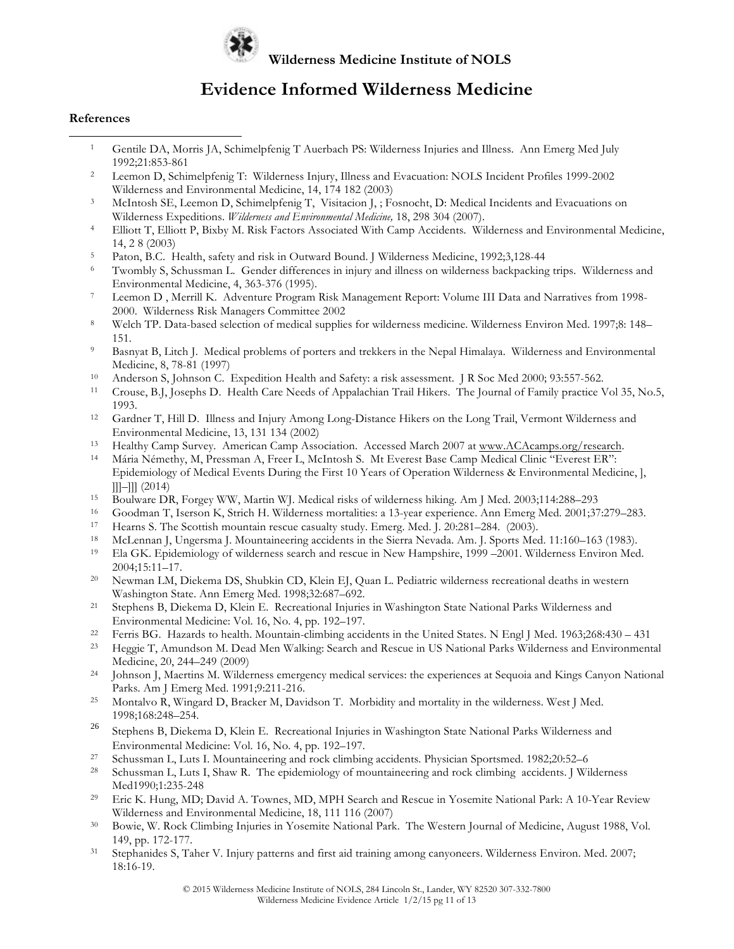

### **Evidence Informed Wilderness Medicine**

#### **References**

 $\overline{a}$ 

- <sup>1</sup> Gentile DA, Morris JA, Schimelpfenig T Auerbach PS: Wilderness Injuries and Illness. Ann Emerg Med July 1992;21:853-861
- <sup>2</sup> Leemon D, Schimelpfenig T: Wilderness Injury, Illness and Evacuation: NOLS Incident Profiles 1999-2002 Wilderness and Environmental Medicine, 14, 174 182 (2003)
- <sup>3</sup> McIntosh SE, Leemon D, Schimelpfenig T, Visitacion J, ; Fosnocht, D: Medical Incidents and Evacuations on Wilderness Expeditions. *Wilderness and Environmental Medicine,* 18, 298 304 (2007).
- <sup>4</sup> Elliott T, Elliott P, Bixby M. Risk Factors Associated With Camp Accidents. Wilderness and Environmental Medicine, 14, 2 8 (2003)
- <sup>5</sup> Paton, B.C. Health, safety and risk in Outward Bound. J Wilderness Medicine, 1992;3,128-44
- <sup>6</sup> Twombly S, Schussman L. Gender differences in injury and illness on wilderness backpacking trips. Wilderness and Environmental Medicine, 4, 363-376 (1995).
- <sup>7</sup> Leemon D , Merrill K. Adventure Program Risk Management Report: Volume III Data and Narratives from 1998- 2000. Wilderness Risk Managers Committee 2002
- <sup>8</sup> Welch TP. Data-based selection of medical supplies for wilderness medicine. Wilderness Environ Med. 1997;8: 148– 151.
- <sup>9</sup> Basnyat B, Litch J. Medical problems of porters and trekkers in the Nepal Himalaya. Wilderness and Environmental Medicine, 8, 78-81 (1997)
- <sup>10</sup> Anderson S, Johnson C. Expedition Health and Safety: a risk assessment. J R Soc Med 2000; 93:557-562.
- <sup>11</sup> Crouse, B.J, Josephs D. Health Care Needs of Appalachian Trail Hikers. The Journal of Family practice Vol 35, No.5, 1993.
- <sup>12</sup> Gardner T, Hill D. Illness and Injury Among Long-Distance Hikers on the Long Trail, Vermont Wilderness and Environmental Medicine, 13, 131 134 (2002)
- <sup>13</sup> Healthy Camp Survey. American Camp Association. Accessed March 2007 at www.ACAcamps.org/research.
- <sup>14</sup> Mária Némethy, M, Pressman A, Freer L, McIntosh S. Mt Everest Base Camp Medical Clinic "Everest ER": Epidemiology of Medical Events During the First 10 Years of Operation Wilderness & Environmental Medicine, ], ]]]–]]] (2014)
- <sup>15</sup> Boulware DR, Forgey WW, Martin WJ. Medical risks of wilderness hiking. Am J Med. 2003;114:288–293
- 16 Goodman T, Iserson K, Strich H. Wilderness mortalities: a 13-year experience. Ann Emerg Med. 2001;37:279–283.<br>17 Hearns S. The Scottish mountain rescue casualty study. Emerg Med. I. 20:281-284 (2003).
- <sup>17</sup> Hearns S. The Scottish mountain rescue casualty study. Emerg. Med. J. 20:281–284. (2003).<br><sup>18</sup> McI ennan L. Ungersma L. Mountaineering accidents in the Sierra Nevada. Am. L. Sports Mee
- <sup>18</sup> McLennan J, Ungersma J. Mountaineering accidents in the Sierra Nevada. Am. J. Sports Med. 11:160–163 (1983).
- <sup>19</sup> Ela GK. Epidemiology of wilderness search and rescue in New Hampshire, 1999 –2001. Wilderness Environ Med. 2004;15:11–17.
- <sup>20</sup> Newman LM, Diekema DS, Shubkin CD, Klein EJ, Quan L. Pediatric wilderness recreational deaths in western Washington State. Ann Emerg Med. 1998;32:687–692.
- <sup>21</sup> Stephens B, Diekema D, Klein E. Recreational Injuries in Washington State National Parks Wilderness and Environmental Medicine: Vol. 16, No. 4, pp. 192–197.
- <sup>22</sup> Ferris BG. Hazards to health. Mountain-climbing accidents in the United States. N Engl J Med. 1963;268:430 431<br><sup>23</sup> Heavie T, Amundson M, Dead Men Walking: Search and Rescue in US National Parks Wilderness and Envir
- <sup>23</sup> Heggie T, Amundson M. Dead Men Walking: Search and Rescue in US National Parks Wilderness and Environmental Medicine, 20, 244–249 (2009)<br>
<sup>24</sup> Johnson J, Maertins M. Wilderness emergency medical services: the experiences at Sequoia and Kings Canyon National
- Parks. Am J Emerg Med. 1991;9:211-216.
- <sup>25</sup> Montalvo R, Wingard D, Bracker M, Davidson T. Morbidity and mortality in the wilderness. West J Med. 1998;168:248–254.
- <sup>26</sup> Stephens B, Diekema D, Klein E. Recreational Injuries in Washington State National Parks Wilderness and Environmental Medicine: Vol. 16, No. 4, pp. 192–197.
- <sup>27</sup> Schussman L, Luts I. Mountaineering and rock climbing accidents. Physician Sportsmed. 1982;20:52–6
- <sup>28</sup> Schussman L, Luts I, Shaw R. The epidemiology of mountaineering and rock climbing accidents. J Wilderness Med1990;1:235-248
- <sup>29</sup> Eric K. Hung, MD; David A. Townes, MD, MPH Search and Rescue in Yosemite National Park: A 10-Year Review Wilderness and Environmental Medicine, 18, 111 116 (2007)
- <sup>30</sup> Bowie, W. Rock Climbing Injuries in Yosemite National Park. The Western Journal of Medicine, August 1988, Vol. 149, pp. 172-177.
- <sup>31</sup> Stephanides S, Taher V. Injury patterns and first aid training among canyoneers. Wilderness Environ. Med. 2007; 18:16-19.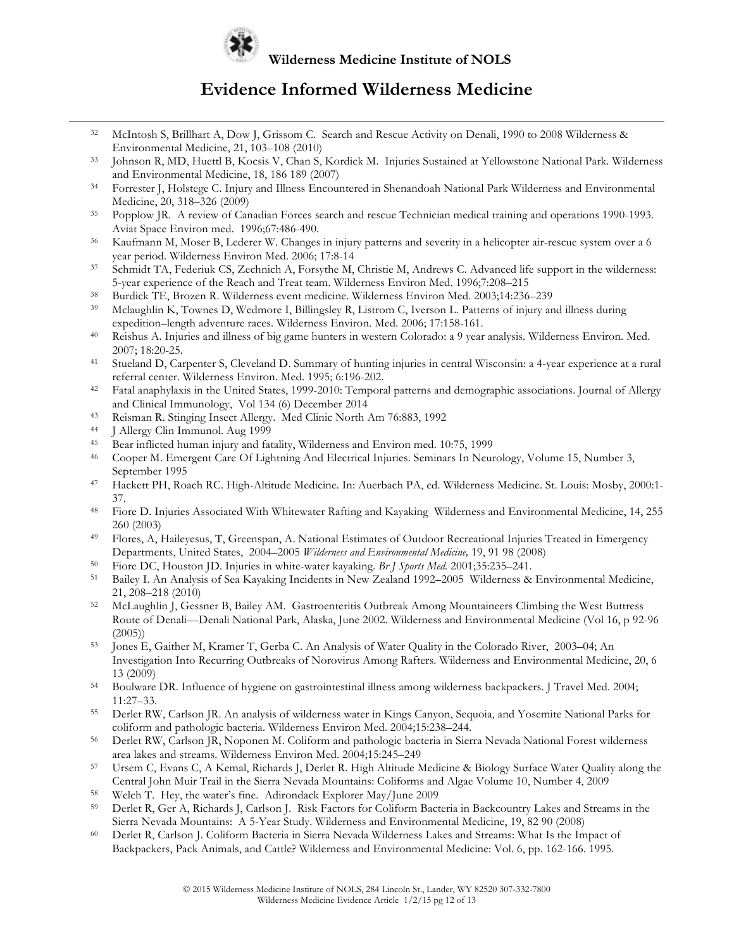

### **Evidence Informed Wilderness Medicine**

- <sup>32</sup> McIntosh S, Brillhart A, Dow J, Grissom C. Search and Rescue Activity on Denali, 1990 to 2008 Wilderness & Environmental Medicine, 21, 103–108 (2010)
- <sup>33</sup> Johnson R, MD, Huettl B, Kocsis V, Chan S, Kordick M. Injuries Sustained at Yellowstone National Park. Wilderness and Environmental Medicine, 18, 186 189 (2007)
- <sup>34</sup> Forrester J, Holstege C. Injury and Illness Encountered in Shenandoah National Park Wilderness and Environmental
- Medicine, 20, 318–326 (2009)<br>35 Popplow JR. A review of Canadian Forces search and rescue Technician medical training and operations 1990-1993. Aviat Space Environ med. 1996;67:486-490.
- <sup>36</sup> Kaufmann M, Moser B, Lederer W. Changes in injury patterns and severity in a helicopter air-rescue system over a 6 year period. Wilderness Environ Med. 2006; 17:8-14
- <sup>37</sup> Schmidt TA, Federiuk CS, Zechnich A, Forsythe M, Christie M, Andrews C. Advanced life support in the wilderness: 5-year experience of the Reach and Treat team. Wilderness Environ Med. 1996;7:208–215
- <sup>38</sup> Burdick TE, Brozen R. Wilderness event medicine. Wilderness Environ Med. 2003;14:236–239<br><sup>39</sup> Melayoblin K. Townes D. Wedmore J. Billingelay B. Listeen G. Jyggon J. Petterns of injury and
- <sup>39</sup> Mclaughlin K, Townes D, Wedmore I, Billingsley R, Listrom C, Iverson L. Patterns of injury and illness during expedition–length adventure races. Wilderness Environ. Med. 2006; 17:158-161.
- <sup>40</sup> Reishus A. Injuries and illness of big game hunters in western Colorado: a 9 year analysis. Wilderness Environ. Med. 2007; 18:20-25.
- <sup>41</sup> Stueland D, Carpenter S, Cleveland D. Summary of hunting injuries in central Wisconsin: a 4-year experience at a rural referral center. Wilderness Environ. Med. 1995; 6:196-202.
- <sup>42</sup> Fatal anaphylaxis in the United States, 1999-2010: Temporal patterns and demographic associations. Journal of Allergy and Clinical Immunology, Vol 134 (6) December 2014
- <sup>43</sup> Reisman R. Stinging Insect Allergy. Med Clinic North Am 76:883, 1992
- <sup>44</sup> J Allergy Clin Immunol. Aug 1999

<u>.</u>

- <sup>45</sup> Bear inflicted human injury and fatality, Wilderness and Environ med. 10:75, 1999
- <sup>46</sup> Cooper M. Emergent Care Of Lightning And Electrical Injuries. Seminars In Neurology, Volume 15, Number 3, September 1995
- <sup>47</sup> Hackett PH, Roach RC. High-Altitude Medicine. In: Auerbach PA, ed. Wilderness Medicine. St. Louis: Mosby, 2000:1- 37.
- <sup>48</sup> Fiore D. Injuries Associated With Whitewater Rafting and Kayaking Wilderness and Environmental Medicine, 14, 255 260 (2003)
- <sup>49</sup> Flores, A, Haileyesus, T, Greenspan, A. National Estimates of Outdoor Recreational Injuries Treated in Emergency Departments, United States, 2004–2005 *Wilderness and Environmental Medicine,* 19, 91 98 (2008)
- <sup>50</sup> Fiore DC, Houston JD. Injuries in white-water kayaking. *Br J Sports Med.* 2001;35:235–241.
- <sup>51</sup> Bailey I. An Analysis of Sea Kayaking Incidents in New Zealand 1992–2005 Wilderness & Environmental Medicine, 21, 208–218 (2010)
- <sup>52</sup> McLaughlin J, Gessner B, Bailey AM. Gastroenteritis Outbreak Among Mountaineers Climbing the West Buttress Route of Denali—Denali National Park, Alaska, June 2002. Wilderness and Environmental Medicine (Vol 16, p 92-96 (2005))
- <sup>53</sup> Jones E, Gaither M, Kramer T, Gerba C. An Analysis of Water Quality in the Colorado River, 2003–04; An Investigation Into Recurring Outbreaks of Norovirus Among Rafters. Wilderness and Environmental Medicine, 20, 6 13 (2009)
- <sup>54</sup> Boulware DR. Influence of hygiene on gastrointestinal illness among wilderness backpackers. J Travel Med. 2004; 11:27–33.
- <sup>55</sup> Derlet RW, Carlson JR. An analysis of wilderness water in Kings Canyon, Sequoia, and Yosemite National Parks for coliform and pathologic bacteria. Wilderness Environ Med. 2004;15:238–244.
- <sup>56</sup> Derlet RW, Carlson JR, Noponen M. Coliform and pathologic bacteria in Sierra Nevada National Forest wilderness area lakes and streams. Wilderness Environ Med. 2004;15:245–249
- <sup>57</sup> Ursem C, Evans C, A Kemal, Richards J, Derlet R. High Altitude Medicine & Biology Surface Water Quality along the Central John Muir Trail in the Sierra Nevada Mountains: Coliforms and Algae Volume 10, Number 4, 2009
- <sup>58</sup> Welch T. Hey, the water's fine. Adirondack Explorer May/June 2009
- <sup>59</sup> Derlet R, Ger A, Richards J, Carlson J. Risk Factors for Coliform Bacteria in Backcountry Lakes and Streams in the Sierra Nevada Mountains: A 5-Year Study. Wilderness and Environmental Medicine, 19, 82 90 (2008)
- <sup>60</sup> Derlet R, Carlson J. Coliform Bacteria in Sierra Nevada Wilderness Lakes and Streams: What Is the Impact of Backpackers, Pack Animals, and Cattle? Wilderness and Environmental Medicine: Vol. 6, pp. 162-166. 1995.